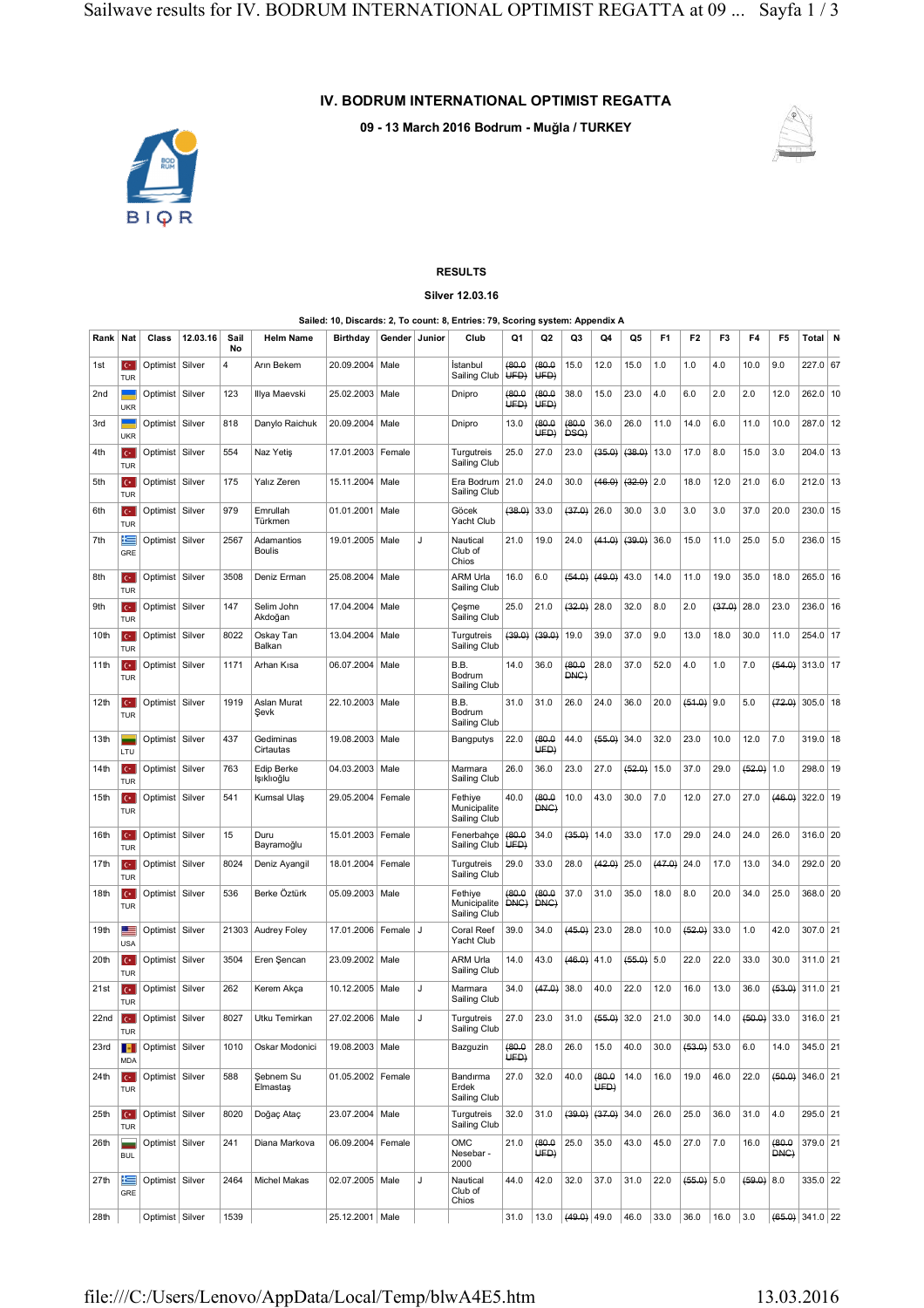## **IV. BODRUM INTERNATIONAL OPTIMIST REGATTA**

**09 - 13 March 2016 Bodrum - Muğla / TURKEY**



## **RESULTS Silver 12.03.16**

## **Sailed: 10, Discards: 2, To count: 8, Entries: 79, Scoring system: Appendix A**

| Rank             | Nat                                    | Class             | 12.03.16 | Sail<br>No     | <b>Helm Name</b>            | <b>Birthday</b>     | Gender Junior |    | Club                                    | Q1             | Q2             | Q3             | Q4             | Q5     | F <sub>1</sub> | F <sub>2</sub> | F3     | F4           | F5             | Total N           |  |
|------------------|----------------------------------------|-------------------|----------|----------------|-----------------------------|---------------------|---------------|----|-----------------------------------------|----------------|----------------|----------------|----------------|--------|----------------|----------------|--------|--------------|----------------|-------------------|--|
| 1st              | $\mathbf{C}^*$<br><b>TUR</b>           | Optimist          | Silver   | $\overline{4}$ | Arın Bekem                  | 20.09.2004          | Male          |    | Istanbul<br>Sailing Club                | (80.0)<br>UFD  | (80.0)<br>UFD  | 15.0           | 12.0           | 15.0   | 1.0            | 1.0            | 4.0    | 10.0         | 9.0            | 227.0 67          |  |
| 2nd              | <b>UKR</b>                             | Optimist   Silver |          | 123            | Illya Maevski               | 25.02.2003          | Male          |    | Dnipro                                  | (80.0)<br>UED) | (80.0)<br>UED) | 38.0           | 15.0           | 23.0   | 4.0            | 6.0            | 2.0    | 2.0          | 12.0           | 262.0 10          |  |
| 3rd              | <b>UKR</b>                             | Optimist   Silver |          | 818            | Danylo Raichuk              | 20.09.2004          | Male          |    | Dnipro                                  | 13.0           | (80.0<br>UFD)  | (80.0<br>DSQ)  | 36.0           | 26.0   | 11.0           | 14.0           | 6.0    | 11.0         | 10.0           | 287.0 12          |  |
| 4th              | $\mathbf{C}^*$<br><b>TUR</b>           | Optimist   Silver |          | 554            | Naz Yetiş                   | 17.01.2003          | Female        |    | Turgutreis<br>Sailing Club              | 25.0           | 27.0           | 23.0           | (36.0)         | (38.0) | 13.0           | 17.0           | 8.0    | 15.0         | 3.0            | $204.0$ 13        |  |
| 5th              | $C^*$<br><b>TUR</b>                    | Optimist   Silver |          | 175            | Yalız Zeren                 | 15.11.2004          | Male          |    | Era Bodrum<br>Sailing Club              | 21.0           | 24.0           | 30.0           | (46.0)         | (32.0) | 2.0            | 18.0           | 12.0   | 21.0         | 6.0            | $212.0$ 13        |  |
| 6th              | $C^*$<br><b>TUR</b>                    | Optimist   Silver |          | 979            | Emrullah<br>Türkmen         | 01.01.2001          | Male          |    | Göcek<br>Yacht Club                     | (38.0)         | 33.0           | (37.0)         | 26.0           | 30.0   | 3.0            | 3.0            | 3.0    | 37.0         | 20.0           | 230.0 15          |  |
| 7th              | 片<br>GRE                               | Optimist   Silver |          | 2567           | Adamantios<br><b>Boulis</b> | 19.01.2005          | Male          | J. | Nautical<br>Club of<br>Chios            | 21.0           | 19.0           | 24.0           | (41.0)         | (39.0) | 36.0           | 15.0           | 11.0   | 25.0         | 5.0            | 236.0 15          |  |
| 8th              | $C^*$<br><b>TUR</b>                    | Optimist   Silver |          | 3508           | Deniz Erman                 | 25.08.2004          | Male          |    | ARM Urla<br>Sailing Club                | 16.0           | 6.0            | (54.0)         | (49.0)         | 43.0   | 14.0           | 11.0           | 19.0   | 35.0         | 18.0           | 265.0 16          |  |
| 9th              | $C^*$<br><b>TUR</b>                    | Optimist   Silver |          | 147            | Selim John<br>Akdoğan       | 17.04.2004          | Male          |    | Çeşme<br>Sailing Club                   | 25.0           | 21.0           | (32.0)         | 28.0           | 32.0   | 8.0            | 2.0            | (37.0) | 28.0         | 23.0           | 236.0 16          |  |
| 10th             | $C^*$<br><b>TUR</b>                    | Optimist   Silver |          | 8022           | Oskay Tan<br>Balkan         | 13.04.2004          | Male          |    | Turgutreis<br>Sailing Club              | (39.0)         | (39.0)         | 19.0           | 39.0           | 37.0   | 9.0            | 13.0           | 18.0   | 30.0         | 11.0           | 254.0 17          |  |
| 11th             | $\mathbf{C}^*$<br><b>TUR</b>           | Optimist   Silver |          | 1171           | Arhan Kisa                  | 06.07.2004          | Male          |    | B.B.<br>Bodrum<br>Sailing Club          | 14.0           | 36.0           | (80.0)<br>DNC) | 28.0           | 37.0   | 52.0           | 4.0            | 1.0    | 7.0          | (54.0)         | 313.0 17          |  |
| 12 <sub>th</sub> | $\mathbf{C}^*$<br><b>TUR</b>           | Optimist   Silver |          | 1919           | Aslan Murat<br>Sevk         | 22.10.2003          | Male          |    | B.B.<br>Bodrum<br>Sailing Club          | 31.0           | 31.0           | 26.0           | 24.0           | 36.0   | 20.0           | $(51.0)$ 9.0   |        | 5.0          | (72.0)         | $305.0$ 18        |  |
| 13th             | LTU                                    | Optimist   Silver |          | 437            | Gediminas<br>Cirtautas      | 19.08.2003          | Male          |    | Bangputys                               | 22.0           | (80.0)<br>UED) | 44.0           | (55.0)         | 34.0   | 32.0           | 23.0           | 10.0   | 12.0         | 7.0            | 319.0 18          |  |
| 14th             | $C^*$<br><b>TUR</b>                    | Optimist   Silver |          | 763            | Edip Berke<br>Işıklıoğlu    | 04.03.2003          | Male          |    | Marmara<br>Sailing Club                 | 26.0           | 36.0           | 23.0           | 27.0           | (52.0) | 15.0           | 37.0           | 29.0   | $(52.0)$ 1.0 |                | 298.0 19          |  |
| 15th             | $C^*$<br><b>TUR</b>                    | Optimist   Silver |          | 541            | Kumsal Ulaş                 | 29.05.2004          | Female        |    | Fethiye<br>Municipalite<br>Sailing Club | 40.0           | (80.0)<br>DNC) | 10.0           | 43.0           | 30.0   | 7.0            | 12.0           | 27.0   | 27.0         | (46.0)         | 322.0 19          |  |
| 16th             | $\mathbf{C}^*$<br><b>TUR</b>           | Optimist   Silver |          | 15             | Duru<br>Bayramoğlu          | 15.01.2003          | Female        |    | Fenerbahçe<br>Sailing Club              | (80.0)<br>UFD  | 34.0           | (35.0)         | 14.0           | 33.0   | 17.0           | 29.0           | 24.0   | 24.0         | 26.0           | 316.0 20          |  |
| 17th             | $C^*$<br><b>TUR</b>                    | Optimist   Silver |          | 8024           | Deniz Ayangil               | 18.01.2004          | Female        |    | Turgutreis<br>Sailing Club              | 29.0           | 33.0           | 28.0           | (42.0)         | 25.0   | (47.0)         | 24.0           | 17.0   | 13.0         | 34.0           | 292.0 20          |  |
| 18th             | $C^*$<br><b>TUR</b>                    | Optimist   Silver |          | 536            | Berke Öztürk                | 05.09.2003          | Male          |    | Fethiye<br>Municipalite<br>Sailing Club | (80.0)<br>DNC) | 0.08<br>DNC)   | 37.0           | 31.0           | 35.0   | 18.0           | 8.0            | 20.0   | 34.0         | 25.0           | 368.0 20          |  |
| 19th             | 트<br><b>USA</b>                        | Optimist   Silver |          | 21303          | <b>Audrey Foley</b>         | 17.01.2006          | Female        | J  | Coral Reef<br>Yacht Club                | 39.0           | 34.0           | $(45.0)$ 23.0  |                | 28.0   | 10.0           | $(52.0)$ 33.0  |        | 1.0          | 42.0           | 307.0 21          |  |
| 20th             | $C^*$<br><b>TUR</b>                    | Optimist   Silver |          | 3504           | Eren Şencan                 | 23.09.2002          | Male          |    | ARM Urla<br>Sailing Club                | 14.0           | 43.0           | (46.0)         | 41.0           | (55.0) | 5.0            | 22.0           | 22.0   | 33.0         | 30.0           | 311.0 21          |  |
| 21st             | $\mathbf{C}^*$<br><b>TUR</b>           | Optimist   Silver |          | 262            | Kerem Akça                  | 10.12.2005          | Male          | J. | Marmara<br>Sailing Club                 | 34.0           | (47.0)         | 38.0           | 40.0           | 22.0   | 12.0           | 16.0           | 13.0   | 36.0         | (53.0)         | $311.0$ 21        |  |
| 22 <sub>nd</sub> | $C^*$<br>TUR                           | Optimist   Silver |          | 8027           | Utku Temirkan               | 27.02.2006 Male     |               |    | Turgutreis<br>Sailing Club              | 27.0           | 23.0           | 31.0           | (66.0)         | 32.0   | 21.0           | 30.0           | 14.0   | (60.0)       | 33.0           | $316.0$ 21        |  |
| 23rd             | H.<br><b>MDA</b>                       | Optimist   Silver |          | 1010           | Oskar Modonici              | 19.08.2003 Male     |               |    | Bazguzin                                | (80.0)<br>UFD) | 28.0           | 26.0           | 15.0           | 40.0   | 30.0           | $(53.0)$ 53.0  |        | 6.0          | 14.0           | 345.0 21          |  |
| 24th             | $C^*$<br><b>TUR</b>                    | Optimist   Silver |          | 588            | Şebnem Su<br>Elmastas       | 01.05.2002   Female |               |    | Bandırma<br>Erdek<br>Sailing Club       | 27.0           | 32.0           | 40.0           | (80.0)<br>UED) | 14.0   | 16.0           | 19.0           | 46.0   | 22.0         | (50.0)         | 346.0 21          |  |
| 25th             | $C^*$<br><b>TUR</b>                    | Optimist   Silver |          | 8020           | Doğaç Ataç                  | 23.07.2004 Male     |               |    | Turgutreis<br>Sailing Club              | 32.0           | 31.0           | (39.0)         | (37.0)         | 34.0   | 26.0           | 25.0           | 36.0   | 31.0         | 4.0            | 295.0 21          |  |
| 26th             | $\overline{\phantom{a}}$<br><b>BUL</b> | Optimist   Silver |          | 241            | Diana Markova               | 06.09.2004   Female |               |    | OMC<br>Nesebar -<br>2000                | 21.0           | (80.0)<br>UFD) | 25.0           | 35.0           | 43.0   | 45.0           | 27.0           | 7.0    | 16.0         | (80.0)<br>DNC) | 379.0 21          |  |
| 27th             | 生<br>GRE                               | Optimist   Silver |          | 2464           | <b>Michel Makas</b>         | 02.07.2005 Male     |               | J  | Nautical<br>Club of<br>Chios            | 44.0           | 42.0           | 32.0           | 37.0           | 31.0   | 22.0           | $(55.0)$ 5.0   |        | (59.0) 8.0   |                | 335.0 22          |  |
| 28th             |                                        | Optimist   Silver |          | 1539           |                             | 25.12.2001   Male   |               |    |                                         | 31.0           | 13.0           | $(49.0)$ 49.0  |                | 46.0   | 33.0           | 36.0           | 16.0   | 3.0          |                | $(66.0)$ 341.0 22 |  |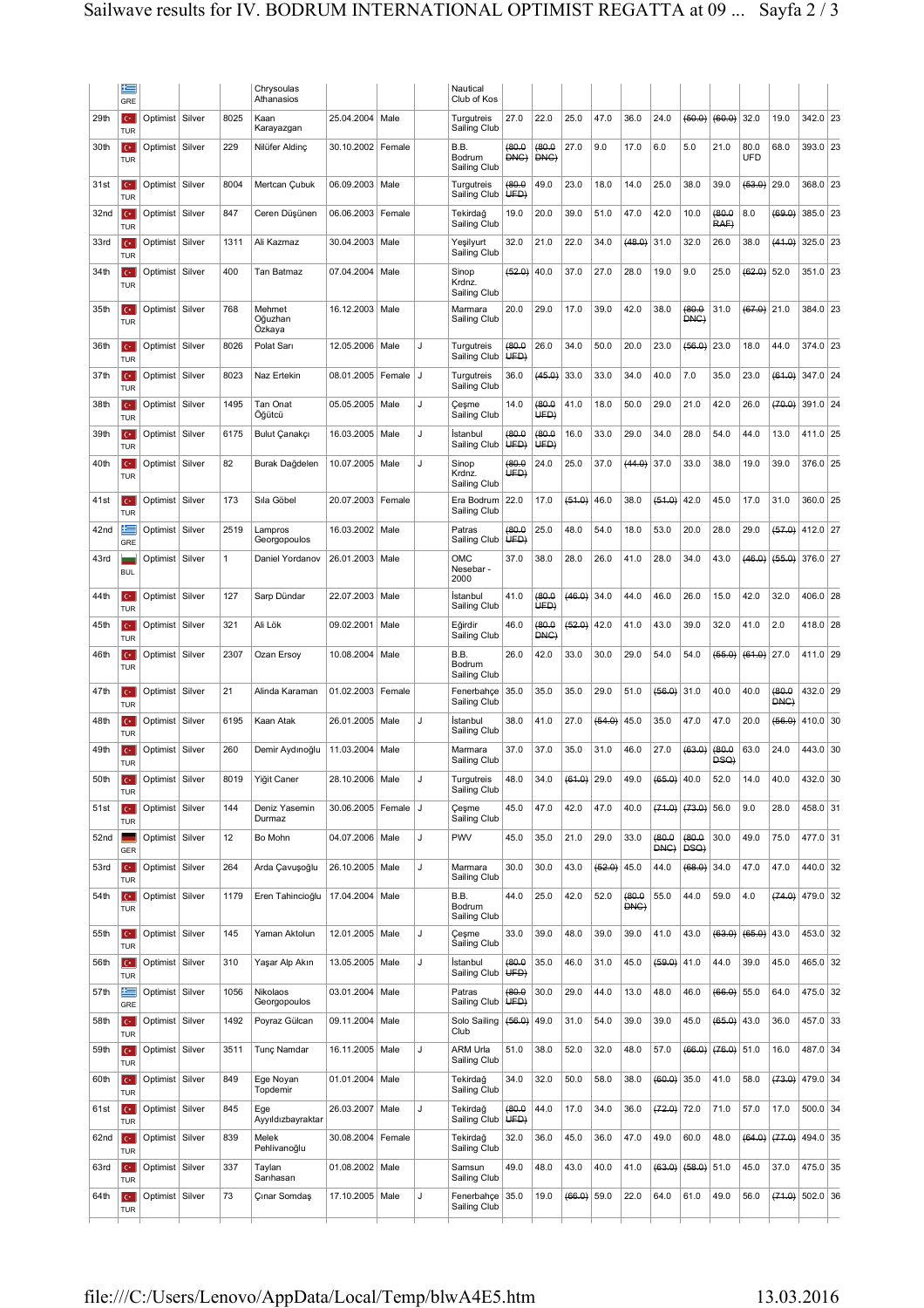|                  | 隼<br>GRE                             |                   |              | Chrysoulas<br>Athanasios    |                         |        |   | Nautical<br>Club of Kos         |                |                |               |        |               |                |               |                |                    |                   |            |  |
|------------------|--------------------------------------|-------------------|--------------|-----------------------------|-------------------------|--------|---|---------------------------------|----------------|----------------|---------------|--------|---------------|----------------|---------------|----------------|--------------------|-------------------|------------|--|
| 29th             | $\mathbf{C}^*$<br><b>TUR</b>         | Optimist Silver   | 8025         | Kaan<br>Karayazgan          | 25.04.2004              | Male   |   | Turgutreis<br>Sailing Club      | 27.0           | 22.0           | 25.0          | 47.0   | 36.0          | 24.0           | (60.0)        | (60.0)         | 32.0               | 19.0              | 342.0 23   |  |
| 30th             | $\mathbf{C}^*$<br>TUR                | Optimist   Silver | 229          | Nilüfer Aldinç              | 30.10.2002              | Female |   | B.B.<br>Bodrum<br>Sailing Club  | (80.0)<br>DNG) | (80.0<br>DNG)  | 27.0          | 9.0    | 17.0          | 6.0            | 5.0           | 21.0           | 80.0<br><b>UFD</b> | 68.0              | 393.0 23   |  |
| 31st             | $\mathbf{C}^*$<br><b>TUR</b>         | Optimist   Silver | 8004         | Mertcan Çubuk               | 06.09.2003 Male         |        |   | Turgutreis<br>Sailing Club      | (80.0)<br>UFD  | 49.0           | 23.0          | 18.0   | 14.0          | 25.0           | 38.0          | 39.0           | (63.0)             | 29.0              | 368.0 23   |  |
| 32 <sub>nd</sub> | $\mathbf{C}^*$<br><b>TUR</b>         | Optimist   Silver | 847          | Ceren Düşünen               | 06.06.2003              | Female |   | Tekirdağ<br>Sailing Club        | 19.0           | 20.0           | 39.0          | 51.0   | 47.0          | 42.0           | 10.0          | (80.0)<br>RAF) | 8.0                | (69.0)            | 385.0 23   |  |
| 33rd             | $C^*$<br><b>TUR</b>                  | Optimist   Silver | 1311         | Ali Kazmaz                  | 30.04.2003              | Male   |   | Yeşilyurt<br>Sailing Club       | 32.0           | 21.0           | 22.0          | 34.0   | (48.0)        | 31.0           | 32.0          | 26.0           | 38.0               | (41.0)            | 325.0 23   |  |
| 34th             | $\mathbf{C}^*$<br><b>TUR</b>         | Optimist   Silver | 400          | Tan Batmaz                  | 07.04.2004              | Male   |   | Sinop<br>Krdnz.<br>Sailing Club | (62.0)         | 40.0           | 37.0          | 27.0   | 28.0          | 19.0           | 9.0           | 25.0           | (62.0)             | 52.0              | $351.0$ 23 |  |
| 35th             | $\mathbf{C}^*$<br><b>TUR</b>         | Optimist   Silver | 768          | Mehmet<br>Oğuzhan<br>Ozkaya | 16.12.2003              | Male   |   | Marmara<br>Sailing Club         | 20.0           | 29.0           | 17.0          | 39.0   | 42.0          | 38.0           | (80.0<br>DNC) | 31.0           | (67.0)             | 21.0              | 384.0 23   |  |
| 36th             | $\mathbf{C}^*$<br><b>TUR</b>         | Optimist   Silver | 8026         | Polat Sarı                  | 12.05.2006              | Male   | J | Turgutreis<br>Sailing Club      | (80.0)<br>UFD  | 26.0           | 34.0          | 50.0   | 20.0          | 23.0           | (56.0)        | 23.0           | 18.0               | 44.0              | 374.0 23   |  |
| 37th             | $\mathbf{C}^*$<br><b>TUR</b>         | Optimist Silver   | 8023         | Naz Ertekin                 | 08.01.2005              | Female | J | Turgutreis<br>Sailing Club      | 36.0           | (46.0)         | 33.0          | 33.0   | 34.0          | 40.0           | 7.0           | 35.0           | 23.0               | (61.0)            | 347.0 24   |  |
| 38th             | $C^*$<br><b>TUR</b>                  | Optimist   Silver | 1495         | Tan Onat<br>Oğütcü          | 05.05.2005              | Male   | J | Çeşme<br>Sailing Club           | 14.0           | (80.0)<br>UFD  | 41.0          | 18.0   | 50.0          | 29.0           | 21.0          | 42.0           | 26.0               | (70.0)            | 391.0 24   |  |
| 39th             | $\mathbf{C}^*$<br><b>TUR</b>         | Optimist Silver   | 6175         | Bulut Çanakçı               | 16.03.2005              | Male   | J | İstanbul<br>Sailing Club        | (80.0)<br>UFD  | (80.0)<br>UED) | 16.0          | 33.0   | 29.0          | 34.0           | 28.0          | 54.0           | 44.0               | 13.0              | 411.0 25   |  |
| 40th             | $\mathbf{C}^*$<br>TUR                | Optimist Silver   | 82           | Burak Dağdelen              | 10.07.2005              | Male   | J | Sinop<br>Krdnz.<br>Sailing Club | (80.0<br>UED)  | 24.0           | 25.0          | 37.0   | (44.0)        | 37.0           | 33.0          | 38.0           | 19.0               | 39.0              | 376.0 25   |  |
| 41st             | $\mathbf{C}^*$<br><b>TUR</b>         | Optimist   Silver | 173          | Sıla Göbel                  | 20.07.2003              | Female |   | Era Bodrum<br>Sailing Club      | 22.0           | 17.0           | (51.0)        | 46.0   | 38.0          | (51.0)         | 42.0          | 45.0           | 17.0               | 31.0              | 360.0 25   |  |
| 42nd             | 生<br>GRE                             | Optimist   Silver | 2519         | Lampros<br>Georgopoulos     | 16.03.2002              | Male   |   | Patras<br>Sailing Club          | (80.0)<br>UFD) | 25.0           | 48.0          | 54.0   | 18.0          | 53.0           | 20.0          | 28.0           | 29.0               | (57.0)            | 412.0 27   |  |
| 43rd             | <b>BUL</b>                           | Optimist   Silver | $\mathbf{1}$ | Daniel Yordanov             | 26.01.2003              | Male   |   | OMC<br>Nesebar -<br>2000        | 37.0           | 38.0           | 28.0          | 26.0   | 41.0          | 28.0           | 34.0          | 43.0           | (46.0)             | (55.0)            | 376.0 27   |  |
| 44th             | $C^*$<br><b>TUR</b>                  | Optimist   Silver | 127          | Sarp Dündar                 | 22.07.2003              | Male   |   | İstanbul<br>Sailing Club        | 41.0           | (80.0<br>UED)  | (46.0)        | 34.0   | 44.0          | 46.0           | 26.0          | 15.0           | 42.0               | 32.0              | 406.0 28   |  |
| 45th             | $C^*$<br><b>TUR</b>                  | Optimist   Silver | 321          | Ali Lök                     | 09.02.2001              | Male   |   | Eğirdir<br>Sailing Club         | 46.0           | (80.0)<br>DNC) | (52.0)        | 42.0   | 41.0          | 43.0           | 39.0          | 32.0           | 41.0               | 2.0               | 418.0 28   |  |
| 46th             | $\mathbf{C}^*$<br><b>TUR</b>         | Optimist   Silver | 2307         | Ozan Ersoy                  | 10.08.2004              | Male   |   | B.B.<br>Bodrum<br>Sailing Club  | 26.0           | 42.0           | 33.0          | 30.0   | 29.0          | 54.0           | 54.0          | (66.0)         | (61.0)   27.0      |                   | 411.0 29   |  |
| 47th             | $\mathbf{C}^*$<br><b>TUR</b>         | Optimist   Silver | 21           | Alinda Karaman              | 01.02.2003              | Female |   | Fenerbahçe<br>Sailing Club      | 35.0           | 35.0           | 35.0          | 29.0   | 51.0          | (56.0)         | 31.0          | 40.0           | 40.0               | (80.0)<br>DNC)    | 432.0 29   |  |
| 48th             | $C^*$<br>TUR                         | Optimist   Silver | 6195         | Kaan Atak                   | 26.01.2005              | Male   | J | Istanbul<br>Sailing Club        | 38.0           | 41.0           | 27.0          | (54.0) | 45.0          | 35.0           | 47.0          | 47.0           | 20.0               | (56.0)            | 410.0 30   |  |
| 49th             | $\mathbf{C}^*$<br><b>TUR</b>         | Optimist Silver   | 260          | Demir Aydınoğlu             | 11.03.2004              | Male   |   | Marmara<br>Sailing Club         | 37.0           | 37.0           | 35.0          | 31.0   | 46.0          | 27.0           | (63.0)        | (80.0<br>DSQ)  | 63.0               | 24.0              | 443.0 30   |  |
| 50th             | $C^*$<br><b>TUR</b>                  | Optimist Silver   | 8019         | Yiğit Caner                 | 28.10.2006 Male         |        | J | Turgutreis<br>Sailing Club      | 48.0           | 34.0           | $(61.0)$ 29.0 |        | 49.0          | (65.0)         | 40.0          | 52.0           | 14.0               | 40.0              | 432.0 30   |  |
| 51st             | $C^*$<br><b>TUR</b>                  | Optimist   Silver | 144          | Deniz Yasemin<br>Durmaz     | 30.06.2005   Female   J |        |   | Çeşme<br>Sailing Club           | 45.0           | 47.0           | 42.0          | 47.0   | 40.0          | (71.0)         | $(73.0)$ 56.0 |                | 9.0                | 28.0              | 458.0 31   |  |
| 52 <sub>nd</sub> | GER                                  | Optimist Silver   | 12           | Bo Mohn                     | 04.07.2006              | Male   | J | PWV                             | 45.0           | 35.0           | 21.0          | 29.0   | 33.0          | (80.0)<br>DNC) | 0.08<br>DSQ)  | 30.0           | 49.0               | 75.0              | 477.0 31   |  |
| 53rd             | $C^*$<br><b>TUR</b>                  | Optimist   Silver | 264          | Arda Çavuşoğlu              | 26.10.2005              | Male   | J | Marmara<br>Sailing Club         | 30.0           | 30.0           | 43.0          | (52.0) | 45.0          | 44.0           | $(68.0)$ 34.0 |                | 47.0               | 47.0              | 440.0 32   |  |
| 54th             | $C^*$<br><b>TUR</b>                  | Optimist   Silver | 1179         | Eren Tahincioğlu            | 17.04.2004              | Male   |   | B.B.<br>Bodrum<br>Sailing Club  | 44.0           | 25.0           | 42.0          | 52.0   | (80.0)<br>DNC | 55.0           | 44.0          | 59.0           | 4.0                | (74.0)            | 479.0 32   |  |
| 55th             | $\mathbf{C}^{\star}$<br><b>TUR</b>   | Optimist   Silver | 145          | Yaman Aktolun               | 12.01.2005              | Male   | J | Çeşme<br>Sailing Club           | 33.0           | 39.0           | 48.0          | 39.0   | 39.0          | 41.0           | 43.0          | (63.0)         | (65.0)             | 43.0              | 453.0 32   |  |
| 56th             | $C^*$<br><b>TUR</b>                  | Optimist Silver   | 310          | Yaşar Alp Akın              | 13.05.2005 Male         |        | J | İstanbul<br>Sailing Club        | (80.0)<br>UFD) | 35.0           | 46.0          | 31.0   | 45.0          | (59.0)         | 41.0          | 44.0           | 39.0               | 45.0              | 465.0 32   |  |
| 57th             | 挂<br>GRE                             | Optimist Silver   | 1056         | Nikolaos<br>Georgopoulos    | 03.01.2004              | Male   |   | Patras<br>Sailing Club          | (80.0)<br>UFD  | 30.0           | 29.0          | 44.0   | 13.0          | 48.0           | 46.0          | (66.0) 55.0    |                    | 64.0              | 475.0 32   |  |
| 58th             | $\mathbf{C}^{\bullet}$<br><b>TUR</b> | Optimist Silver   | 1492         | Poyraz Gülcan               | 09.11.2004              | Male   |   | Solo Sailing<br>Club            | (56.0)         | 49.0           | 31.0          | 54.0   | 39.0          | 39.0           | 45.0          | $(65.0)$ 43.0  |                    | 36.0              | 457.0 33   |  |
| 59th             | $C^*$<br><b>TUR</b>                  | Optimist Silver   | 3511         | Tunç Namdar                 | 16.11.2005 Male         |        | J | ARM Urla<br>Sailing Club        | 51.0           | 38.0           | 52.0          | 32.0   | 48.0          | 57.0           | (66.0)        | $(76.0)$ 51.0  |                    | 16.0              | 487.0 34   |  |
| 60th             | $C^*$<br><b>TUR</b>                  | Optimist   Silver | 849          | Ege Noyan<br>Topdemir       | 01.01.2004 Male         |        |   | Tekirdağ<br>Sailing Club        | 34.0           | 32.0           | 50.0          | 58.0   | 38.0          | $(60.0)$ 35.0  |               | 41.0           | 58.0               | (73.0)            | 479.0 34   |  |
| 61st             | $C^*$<br><b>TUR</b>                  | Optimist Silver   | 845          | Ege<br>Ayyıldızbayraktar    | 26.03.2007              | Male   | J | Tekirdağ<br>Sailing Club        | (80.0)<br>UFD  | 44.0           | 17.0          | 34.0   | 36.0          | (72.0)         | 72.0          | 71.0           | 57.0               | 17.0              | 500.0 34   |  |
| 62nd             | $C^*$<br>TUR                         | Optimist   Silver | 839          | Melek<br>Pehlivanoğlu       | 30.08.2004              | Female |   | Tekirdağ<br>Sailing Club        | 32.0           | 36.0           | 45.0          | 36.0   | 47.0          | 49.0           | 60.0          | 48.0           | (64.0)             | (77.0)            | 494.0 35   |  |
| 63rd             | $C^*$<br><b>TUR</b>                  | Optimist Silver   | 337          | Taylan<br>Sarıhasan         | 01.08.2002              | Male   |   | Samsun<br>Sailing Club          | 49.0           | 48.0           | 43.0          | 40.0   | 41.0          | (63.0)         | $(58.0)$ 51.0 |                | 45.0               | 37.0              | 475.0 35   |  |
| 64th             | $C^*$<br><b>TUR</b>                  | Optimist Silver   | 73           | Çınar Somdaş                | 17.10.2005 Male         |        | J | Fenerbahçe<br>Sailing Club      | 35.0           | 19.0           | (66.0)        | 59.0   | 22.0          | 64.0           | 61.0          | 49.0           | 56.0               | $(74.0)$ 502.0 36 |            |  |